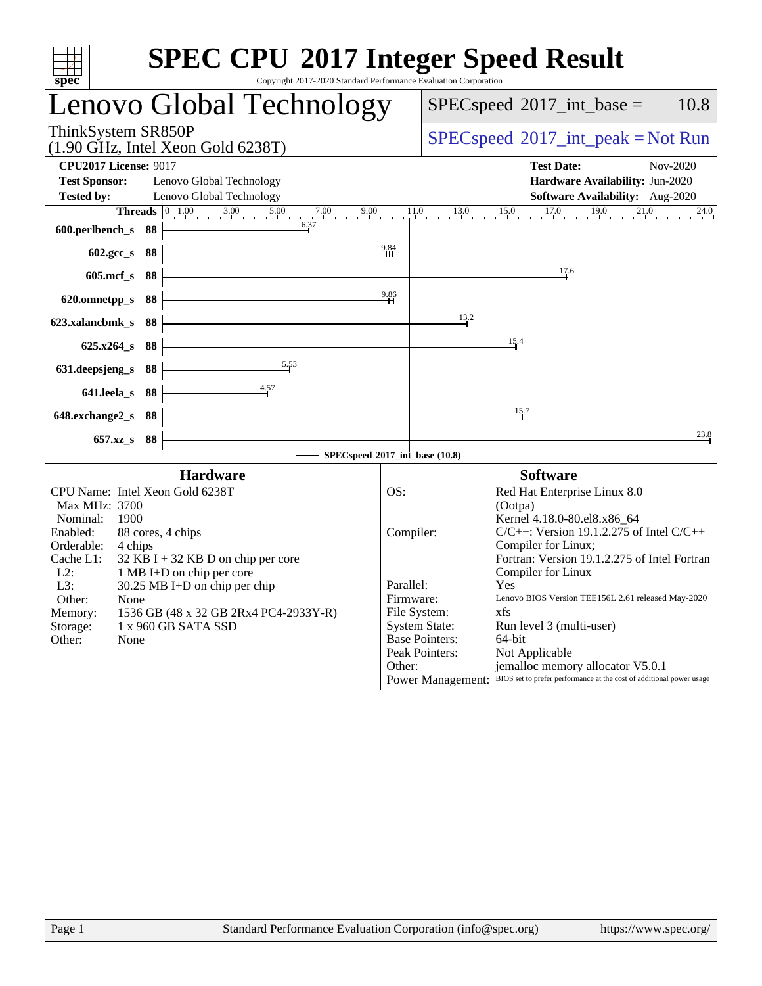| Copyright 2017-2020 Standard Performance Evaluation Corporation<br>spec <sup>®</sup>                                                                                                                                                                                                                                                                                                                             | <b>SPEC CPU®2017 Integer Speed Result</b>                                                                                                                                                                                                                                                                                                                                                                                                                                                                                                                                                                                                    |
|------------------------------------------------------------------------------------------------------------------------------------------------------------------------------------------------------------------------------------------------------------------------------------------------------------------------------------------------------------------------------------------------------------------|----------------------------------------------------------------------------------------------------------------------------------------------------------------------------------------------------------------------------------------------------------------------------------------------------------------------------------------------------------------------------------------------------------------------------------------------------------------------------------------------------------------------------------------------------------------------------------------------------------------------------------------------|
| Lenovo Global Technology                                                                                                                                                                                                                                                                                                                                                                                         | $SPEC speed^{\circ}2017\_int\_base =$<br>10.8                                                                                                                                                                                                                                                                                                                                                                                                                                                                                                                                                                                                |
| ThinkSystem SR850P<br>$(1.90$ GHz, Intel Xeon Gold 6238T)                                                                                                                                                                                                                                                                                                                                                        | $SPEC speed^{\circ}2017\_int\_peak = Not Run$                                                                                                                                                                                                                                                                                                                                                                                                                                                                                                                                                                                                |
| <b>CPU2017 License: 9017</b><br><b>Test Sponsor:</b><br>Lenovo Global Technology<br><b>Tested by:</b><br>Lenovo Global Technology                                                                                                                                                                                                                                                                                | <b>Test Date:</b><br>Nov-2020<br>Hardware Availability: Jun-2020<br>Software Availability: Aug-2020                                                                                                                                                                                                                                                                                                                                                                                                                                                                                                                                          |
| 6.37<br>600.perlbench_s $88$                                                                                                                                                                                                                                                                                                                                                                                     | <b>Threads</b> $\begin{bmatrix} 0 & 1.00 & 3.00 & 5.00 & 7.00 & 9.00 & 1.1.0 & 13.0 & 15.0 & 17.0 & 19.0 & 21.0 \end{bmatrix}$<br>24.0                                                                                                                                                                                                                                                                                                                                                                                                                                                                                                       |
| $602.\text{gcc}\_\text{s}$ 88                                                                                                                                                                                                                                                                                                                                                                                    | $\frac{9.84}{4}$<br>17.6                                                                                                                                                                                                                                                                                                                                                                                                                                                                                                                                                                                                                     |
| $605 \text{.mcf}\, \text{s}$ 88<br>$620.$ omnetpp_s 88                                                                                                                                                                                                                                                                                                                                                           | 9.86                                                                                                                                                                                                                                                                                                                                                                                                                                                                                                                                                                                                                                         |
| 623.xalancbmk_s 88                                                                                                                                                                                                                                                                                                                                                                                               | 13.2                                                                                                                                                                                                                                                                                                                                                                                                                                                                                                                                                                                                                                         |
| $625.x264_s 88$<br>5.53<br>631.deepsjeng_s 88 $\vert$                                                                                                                                                                                                                                                                                                                                                            | 15.4                                                                                                                                                                                                                                                                                                                                                                                                                                                                                                                                                                                                                                         |
| $641.$ leela_s 88 +                                                                                                                                                                                                                                                                                                                                                                                              |                                                                                                                                                                                                                                                                                                                                                                                                                                                                                                                                                                                                                                              |
| $648$ .exchange $2_s$ 88<br>657.xz_s 88                                                                                                                                                                                                                                                                                                                                                                          | 15.7<br>23.8                                                                                                                                                                                                                                                                                                                                                                                                                                                                                                                                                                                                                                 |
|                                                                                                                                                                                                                                                                                                                                                                                                                  | - SPECspeed®2017_int_base (10.8)                                                                                                                                                                                                                                                                                                                                                                                                                                                                                                                                                                                                             |
| <b>Hardware</b><br>CPU Name: Intel Xeon Gold 6238T<br>Max MHz: 3700<br>Nominal:<br>1900<br>Enabled:<br>88 cores, 4 chips<br>Orderable:<br>4 chips<br>$32$ KB I + 32 KB D on chip per core<br>Cache L1:<br>$L2$ :<br>1 MB I+D on chip per core<br>L3:<br>30.25 MB I+D on chip per chip<br>Other:<br>None<br>1536 GB (48 x 32 GB 2Rx4 PC4-2933Y-R)<br>Memory:<br>1 x 960 GB SATA SSD<br>Storage:<br>Other:<br>None | <b>Software</b><br>OS:<br>Red Hat Enterprise Linux 8.0<br>(Ootpa)<br>Kernel 4.18.0-80.el8.x86_64<br>$C/C++$ : Version 19.1.2.275 of Intel $C/C++$<br>Compiler:<br>Compiler for Linux;<br>Fortran: Version 19.1.2.275 of Intel Fortran<br>Compiler for Linux<br>Parallel:<br>Yes<br>Lenovo BIOS Version TEE156L 2.61 released May-2020<br>Firmware:<br>File System:<br>xfs<br><b>System State:</b><br>Run level 3 (multi-user)<br><b>Base Pointers:</b><br>64-bit<br>Peak Pointers:<br>Not Applicable<br>Other:<br>jemalloc memory allocator V5.0.1<br>Power Management: BIOS set to prefer performance at the cost of additional power usage |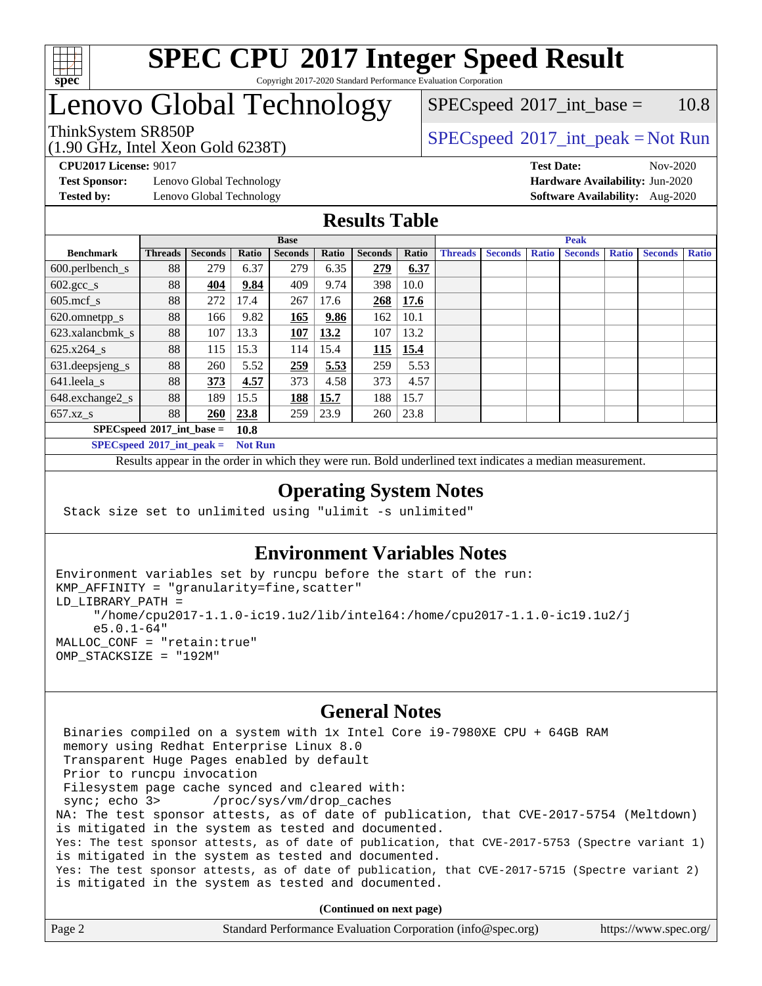

### Lenovo Global Technology

(1.90 GHz, Intel Xeon Gold 6238T)

 $SPEC speed^{\circ}2017\_int\_peak = Not Run$  $SPECspeed^{\circledcirc}2017\_int\_base = 10.8$  $SPECspeed^{\circledcirc}2017\_int\_base = 10.8$ 

**[Test Sponsor:](http://www.spec.org/auto/cpu2017/Docs/result-fields.html#TestSponsor)** Lenovo Global Technology **[Hardware Availability:](http://www.spec.org/auto/cpu2017/Docs/result-fields.html#HardwareAvailability)** Jun-2020 **[Tested by:](http://www.spec.org/auto/cpu2017/Docs/result-fields.html#Testedby)** Lenovo Global Technology **[Software Availability:](http://www.spec.org/auto/cpu2017/Docs/result-fields.html#SoftwareAvailability)** Aug-2020

**[CPU2017 License:](http://www.spec.org/auto/cpu2017/Docs/result-fields.html#CPU2017License)** 9017 **[Test Date:](http://www.spec.org/auto/cpu2017/Docs/result-fields.html#TestDate)** Nov-2020

#### **[Results Table](http://www.spec.org/auto/cpu2017/Docs/result-fields.html#ResultsTable)**

|                                     | <b>Base</b>    |                |       |                | <b>Peak</b> |                |       |                |                |              |                |              |                |              |
|-------------------------------------|----------------|----------------|-------|----------------|-------------|----------------|-------|----------------|----------------|--------------|----------------|--------------|----------------|--------------|
| <b>Benchmark</b>                    | <b>Threads</b> | <b>Seconds</b> | Ratio | <b>Seconds</b> | Ratio       | <b>Seconds</b> | Ratio | <b>Threads</b> | <b>Seconds</b> | <b>Ratio</b> | <b>Seconds</b> | <b>Ratio</b> | <b>Seconds</b> | <b>Ratio</b> |
| $600.$ perlbench $\mathsf{S}$       | 88             | 279            | 6.37  | 279            | 6.35        | 279            | 6.37  |                |                |              |                |              |                |              |
| $602.\text{gcc}\_\text{s}$          | 88             | 404            | 9.84  | 409            | 9.74        | 398            | 10.0  |                |                |              |                |              |                |              |
| $605$ .mcf s                        | 88             | 272            | 17.4  | 267            | 17.6        | 268            | 17.6  |                |                |              |                |              |                |              |
| 620.omnetpp_s                       | 88             | 166            | 9.82  | 165            | 9.86        | 162            | 10.1  |                |                |              |                |              |                |              |
| 623.xalancbmk s                     | 88             | 107            | 13.3  | <b>107</b>     | 13.2        | 107            | 13.2  |                |                |              |                |              |                |              |
| $625.x264$ s                        | 88             | 115            | 15.3  | 114            | 15.4        | 115            | 15.4  |                |                |              |                |              |                |              |
| 631.deepsjeng_s                     | 88             | 260            | 5.52  | 259            | 5.53        | 259            | 5.53  |                |                |              |                |              |                |              |
| 641.leela s                         | 88             | 373            | 4.57  | 373            | 4.58        | 373            | 4.57  |                |                |              |                |              |                |              |
| 648.exchange2_s                     | 88             | 189            | 15.5  | 188            | 15.7        | 188            | 15.7  |                |                |              |                |              |                |              |
| $657.xz$ <sub>_S</sub>              | 88             | 260            | 23.8  | 259            | 23.9        | 260            | 23.8  |                |                |              |                |              |                |              |
| $SPECspeed*2017$ int base =<br>10.8 |                |                |       |                |             |                |       |                |                |              |                |              |                |              |

**[SPECspeed](http://www.spec.org/auto/cpu2017/Docs/result-fields.html#SPECspeed2017intpeak)[2017\\_int\\_peak =](http://www.spec.org/auto/cpu2017/Docs/result-fields.html#SPECspeed2017intpeak) Not Run**

Results appear in the [order in which they were run.](http://www.spec.org/auto/cpu2017/Docs/result-fields.html#RunOrder) Bold underlined text [indicates a median measurement.](http://www.spec.org/auto/cpu2017/Docs/result-fields.html#Median)

#### **[Operating System Notes](http://www.spec.org/auto/cpu2017/Docs/result-fields.html#OperatingSystemNotes)**

Stack size set to unlimited using "ulimit -s unlimited"

### **[Environment Variables Notes](http://www.spec.org/auto/cpu2017/Docs/result-fields.html#EnvironmentVariablesNotes)**

```
Environment variables set by runcpu before the start of the run:
KMP_AFFINITY = "granularity=fine,scatter"
LD_LIBRARY_PATH =
      "/home/cpu2017-1.1.0-ic19.1u2/lib/intel64:/home/cpu2017-1.1.0-ic19.1u2/j
      e5.0.1-64"
MALLOC_CONF = "retain:true"
OMP_STACKSIZE = "192M"
```
#### **[General Notes](http://www.spec.org/auto/cpu2017/Docs/result-fields.html#GeneralNotes)**

 Binaries compiled on a system with 1x Intel Core i9-7980XE CPU + 64GB RAM memory using Redhat Enterprise Linux 8.0 Transparent Huge Pages enabled by default Prior to runcpu invocation Filesystem page cache synced and cleared with: sync; echo 3> /proc/sys/vm/drop\_caches NA: The test sponsor attests, as of date of publication, that CVE-2017-5754 (Meltdown) is mitigated in the system as tested and documented. Yes: The test sponsor attests, as of date of publication, that CVE-2017-5753 (Spectre variant 1) is mitigated in the system as tested and documented. Yes: The test sponsor attests, as of date of publication, that CVE-2017-5715 (Spectre variant 2) is mitigated in the system as tested and documented.

**(Continued on next page)**

| Page 2 | Standard Performance Evaluation Corporation (info@spec.org) | https://www.spec.org/ |
|--------|-------------------------------------------------------------|-----------------------|
|--------|-------------------------------------------------------------|-----------------------|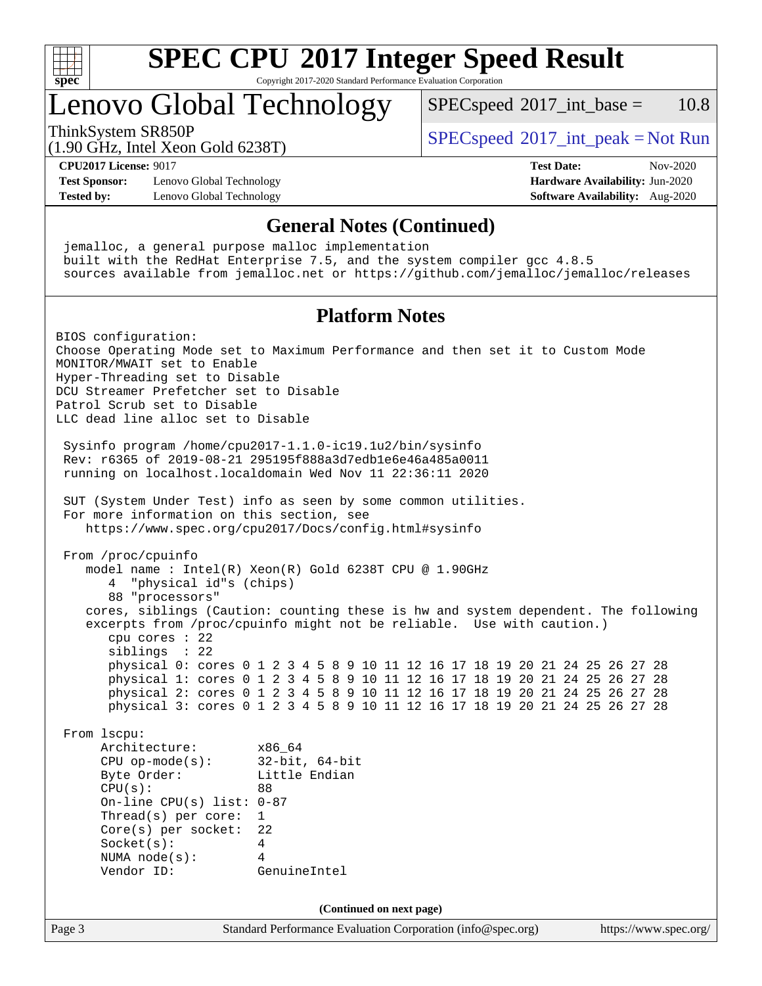

### Lenovo Global Technology

 $SPECspeed^{\circledcirc}2017\_int\_base = 10.8$  $SPECspeed^{\circledcirc}2017\_int\_base = 10.8$ 

(1.90 GHz, Intel Xeon Gold 6238T)

ThinkSystem SR850P<br>(1.00 CHz, Intel Year Gald 6228T) [SPECspeed](http://www.spec.org/auto/cpu2017/Docs/result-fields.html#SPECspeed2017intpeak)<sup>®</sup>[2017\\_int\\_peak = N](http://www.spec.org/auto/cpu2017/Docs/result-fields.html#SPECspeed2017intpeak)ot Run

**[CPU2017 License:](http://www.spec.org/auto/cpu2017/Docs/result-fields.html#CPU2017License)** 9017 **[Test Date:](http://www.spec.org/auto/cpu2017/Docs/result-fields.html#TestDate)** Nov-2020

**[Test Sponsor:](http://www.spec.org/auto/cpu2017/Docs/result-fields.html#TestSponsor)** Lenovo Global Technology **[Hardware Availability:](http://www.spec.org/auto/cpu2017/Docs/result-fields.html#HardwareAvailability)** Jun-2020 **[Tested by:](http://www.spec.org/auto/cpu2017/Docs/result-fields.html#Testedby)** Lenovo Global Technology **[Software Availability:](http://www.spec.org/auto/cpu2017/Docs/result-fields.html#SoftwareAvailability)** Aug-2020

#### **[General Notes \(Continued\)](http://www.spec.org/auto/cpu2017/Docs/result-fields.html#GeneralNotes)**

Page 3 Standard Performance Evaluation Corporation [\(info@spec.org\)](mailto:info@spec.org) <https://www.spec.org/> jemalloc, a general purpose malloc implementation built with the RedHat Enterprise 7.5, and the system compiler gcc 4.8.5 sources available from jemalloc.net or <https://github.com/jemalloc/jemalloc/releases> **[Platform Notes](http://www.spec.org/auto/cpu2017/Docs/result-fields.html#PlatformNotes)** BIOS configuration: Choose Operating Mode set to Maximum Performance and then set it to Custom Mode MONITOR/MWAIT set to Enable Hyper-Threading set to Disable DCU Streamer Prefetcher set to Disable Patrol Scrub set to Disable LLC dead line alloc set to Disable Sysinfo program /home/cpu2017-1.1.0-ic19.1u2/bin/sysinfo Rev: r6365 of 2019-08-21 295195f888a3d7edb1e6e46a485a0011 running on localhost.localdomain Wed Nov 11 22:36:11 2020 SUT (System Under Test) info as seen by some common utilities. For more information on this section, see <https://www.spec.org/cpu2017/Docs/config.html#sysinfo> From /proc/cpuinfo model name : Intel(R) Xeon(R) Gold 6238T CPU @ 1.90GHz 4 "physical id"s (chips) 88 "processors" cores, siblings (Caution: counting these is hw and system dependent. The following excerpts from /proc/cpuinfo might not be reliable. Use with caution.) cpu cores : 22 siblings : 22 physical 0: cores 0 1 2 3 4 5 8 9 10 11 12 16 17 18 19 20 21 24 25 26 27 28 physical 1: cores 0 1 2 3 4 5 8 9 10 11 12 16 17 18 19 20 21 24 25 26 27 28 physical 2: cores 0 1 2 3 4 5 8 9 10 11 12 16 17 18 19 20 21 24 25 26 27 28 physical 3: cores 0 1 2 3 4 5 8 9 10 11 12 16 17 18 19 20 21 24 25 26 27 28 From lscpu: Architecture: x86\_64 CPU op-mode(s): 32-bit, 64-bit Byte Order: Little Endian  $CPU(s):$  88 On-line CPU(s) list: 0-87 Thread(s) per core: 1 Core(s) per socket: 22 Socket(s): 4 NUMA node(s): 4 Vendor ID: GenuineIntel **(Continued on next page)**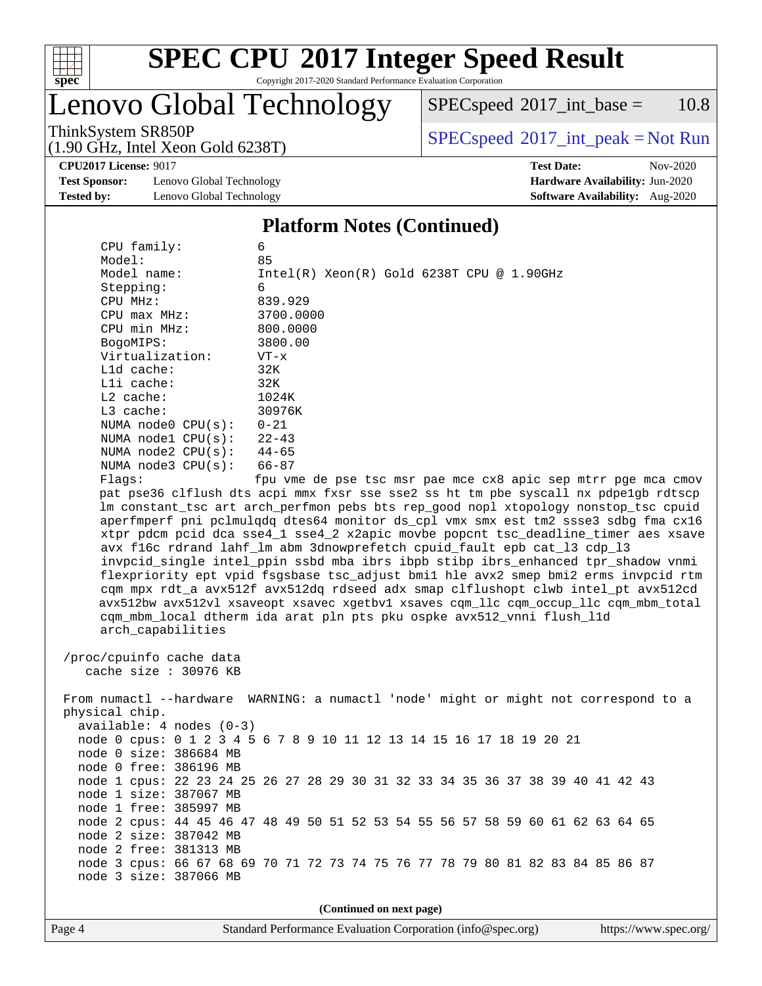

## **[SPEC CPU](http://www.spec.org/auto/cpu2017/Docs/result-fields.html#SPECCPU2017IntegerSpeedResult)[2017 Integer Speed Result](http://www.spec.org/auto/cpu2017/Docs/result-fields.html#SPECCPU2017IntegerSpeedResult)**

Copyright 2017-2020 Standard Performance Evaluation Corporation

### Lenovo Global Technology

 $SPECspeed^{\circledcirc}2017\_int\_base = 10.8$  $SPECspeed^{\circledcirc}2017\_int\_base = 10.8$ 

(1.90 GHz, Intel Xeon Gold 6238T)

ThinkSystem SR850P<br>(1.00 GHz, Intel Year Gald 6238T) [SPECspeed](http://www.spec.org/auto/cpu2017/Docs/result-fields.html#SPECspeed2017intpeak)<sup>®</sup>[2017\\_int\\_peak = N](http://www.spec.org/auto/cpu2017/Docs/result-fields.html#SPECspeed2017intpeak)ot Run

**[CPU2017 License:](http://www.spec.org/auto/cpu2017/Docs/result-fields.html#CPU2017License)** 9017 **[Test Date:](http://www.spec.org/auto/cpu2017/Docs/result-fields.html#TestDate)** Nov-2020

**[Test Sponsor:](http://www.spec.org/auto/cpu2017/Docs/result-fields.html#TestSponsor)** Lenovo Global Technology **[Hardware Availability:](http://www.spec.org/auto/cpu2017/Docs/result-fields.html#HardwareAvailability)** Jun-2020 **[Tested by:](http://www.spec.org/auto/cpu2017/Docs/result-fields.html#Testedby)** Lenovo Global Technology **[Software Availability:](http://www.spec.org/auto/cpu2017/Docs/result-fields.html#SoftwareAvailability)** Aug-2020

#### **[Platform Notes \(Continued\)](http://www.spec.org/auto/cpu2017/Docs/result-fields.html#PlatformNotes)**

| CPU family:                | 6                                                                                    |
|----------------------------|--------------------------------------------------------------------------------------|
| Model:                     | 85                                                                                   |
| Model name:                | $Intel(R) Xeon(R) Gold 6238T CPU @ 1.90GHz$                                          |
| Stepping:                  | 6                                                                                    |
| CPU MHz:                   | 839.929                                                                              |
| $CPU$ max $MHz$ :          | 3700.0000                                                                            |
| CPU min MHz:               | 800.0000                                                                             |
| BogoMIPS:                  | 3800.00                                                                              |
| Virtualization:            | VT-x                                                                                 |
| L1d cache:                 | 32K                                                                                  |
| Lli cache:                 | 32K                                                                                  |
| $L2$ cache:                | 1024K                                                                                |
| L3 cache:                  | 30976K                                                                               |
| NUMA node0 CPU(s):         | $0 - 21$                                                                             |
| NUMA $node1$ $CPU(s):$     | $22 - 43$                                                                            |
| NUMA $node2$ $CPU(s):$     | $44 - 65$                                                                            |
| NUMA $node3$ $CPU(s):$     | $66 - 87$                                                                            |
| Flaqs:                     | fpu vme de pse tsc msr pae mce cx8 apic sep mtrr pge mca cmov                        |
|                            | pat pse36 clflush dts acpi mmx fxsr sse sse2 ss ht tm pbe syscall nx pdpelgb rdtscp  |
|                            | lm constant_tsc art arch_perfmon pebs bts rep_good nopl xtopology nonstop_tsc cpuid  |
|                            | aperfmperf pni pclmulqdq dtes64 monitor ds_cpl vmx smx est tm2 ssse3 sdbg fma cx16   |
|                            | xtpr pdcm pcid dca sse4_1 sse4_2 x2apic movbe popcnt tsc_deadline_timer aes xsave    |
|                            | avx f16c rdrand lahf_lm abm 3dnowprefetch cpuid_fault epb cat_13 cdp_13              |
|                            | invpcid_single intel_ppin ssbd mba ibrs ibpb stibp ibrs_enhanced tpr_shadow vnmi     |
|                            | flexpriority ept vpid fsgsbase tsc_adjust bmil hle avx2 smep bmi2 erms invpcid rtm   |
|                            | cqm mpx rdt_a avx512f avx512dq rdseed adx smap clflushopt clwb intel_pt avx512cd     |
|                            | avx512bw avx512vl xsaveopt xsavec xgetbvl xsaves cqm_llc cqm_occup_llc cqm_mbm_total |
|                            | cqm_mbm_local dtherm ida arat pln pts pku ospke avx512_vnni flush_l1d                |
| arch_capabilities          |                                                                                      |
|                            |                                                                                      |
| /proc/cpuinfo cache data   |                                                                                      |
| cache size $: 30976$ KB    |                                                                                      |
|                            |                                                                                      |
|                            | From numactl --hardware WARNING: a numactl 'node' might or might not correspond to a |
| physical chip.             |                                                                                      |
| $available: 4 nodes (0-3)$ |                                                                                      |
|                            | node 0 cpus: 0 1 2 3 4 5 6 7 8 9 10 11 12 13 14 15 16 17 18 19 20 21                 |
| node 0 size: 386684 MB     |                                                                                      |
|                            |                                                                                      |
| node 0 free: 386196 MB     |                                                                                      |
|                            | node 1 cpus: 22 23 24 25 26 27 28 29 30 31 32 33 34 35 36 37 38 39 40 41 42 43       |
| node 1 size: 387067 MB     |                                                                                      |
| node 1 free: 385997 MB     |                                                                                      |
|                            | node 2 cpus: 44 45 46 47 48 49 50 51 52 53 54 55 56 57 58 59 60 61 62 63 64 65       |
| node 2 size: 387042 MB     |                                                                                      |
| node 2 free: 381313 MB     |                                                                                      |
|                            | node 3 cpus: 66 67 68 69 70 71 72 73 74 75 76 77 78 79 80 81 82 83 84 85 86 87       |
| node 3 size: 387066 MB     |                                                                                      |

**(Continued on next page)**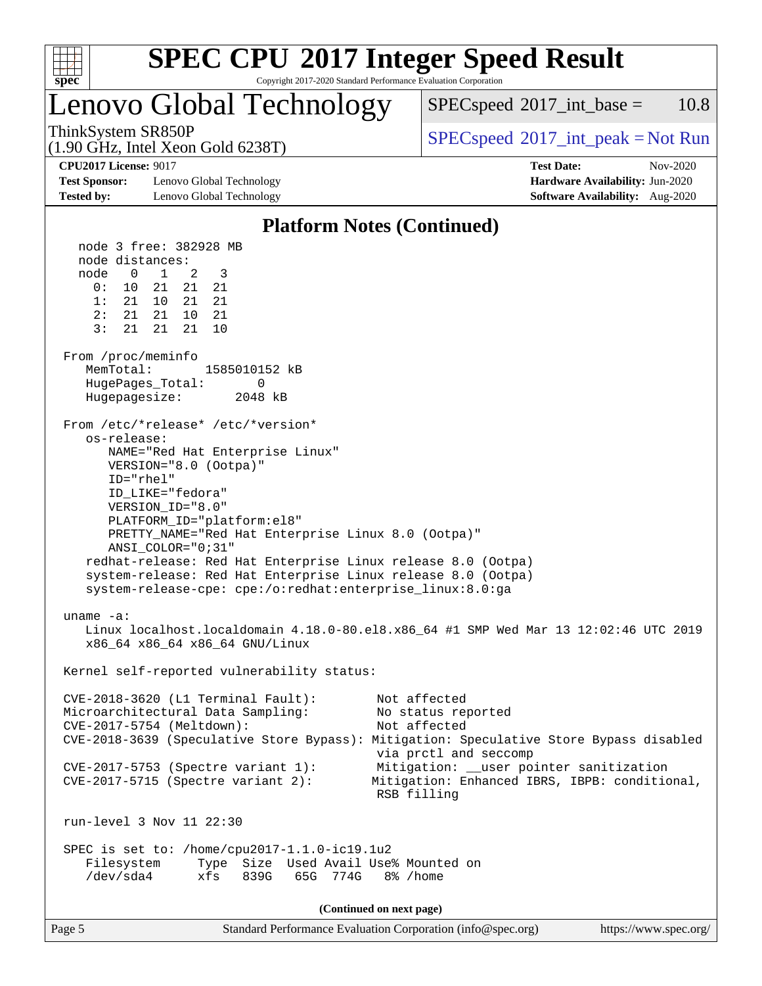

## **[SPEC CPU](http://www.spec.org/auto/cpu2017/Docs/result-fields.html#SPECCPU2017IntegerSpeedResult)[2017 Integer Speed Result](http://www.spec.org/auto/cpu2017/Docs/result-fields.html#SPECCPU2017IntegerSpeedResult)**

Copyright 2017-2020 Standard Performance Evaluation Corporation

### Lenovo Global Technology

 $SPECspeed^{\circ}2017\_int\_base = 10.8$  $SPECspeed^{\circ}2017\_int\_base = 10.8$ 

(1.90 GHz, Intel Xeon Gold 6238T)

ThinkSystem SR850P<br>(1.00 CHz, Intel Year Gald 6228T) [SPECspeed](http://www.spec.org/auto/cpu2017/Docs/result-fields.html#SPECspeed2017intpeak)<sup>®</sup>[2017\\_int\\_peak = N](http://www.spec.org/auto/cpu2017/Docs/result-fields.html#SPECspeed2017intpeak)ot Run

**[Test Sponsor:](http://www.spec.org/auto/cpu2017/Docs/result-fields.html#TestSponsor)** Lenovo Global Technology **[Hardware Availability:](http://www.spec.org/auto/cpu2017/Docs/result-fields.html#HardwareAvailability)** Jun-2020 **[Tested by:](http://www.spec.org/auto/cpu2017/Docs/result-fields.html#Testedby)** Lenovo Global Technology **[Software Availability:](http://www.spec.org/auto/cpu2017/Docs/result-fields.html#SoftwareAvailability)** Aug-2020

**[CPU2017 License:](http://www.spec.org/auto/cpu2017/Docs/result-fields.html#CPU2017License)** 9017 **[Test Date:](http://www.spec.org/auto/cpu2017/Docs/result-fields.html#TestDate)** Nov-2020

#### **[Platform Notes \(Continued\)](http://www.spec.org/auto/cpu2017/Docs/result-fields.html#PlatformNotes)**

Page 5 Standard Performance Evaluation Corporation [\(info@spec.org\)](mailto:info@spec.org) <https://www.spec.org/> node 3 free: 382928 MB node distances: node 0 1 2 3 0: 10 21 21 21 1: 21 10 21 21 2: 21 21 10 21 3: 21 21 21 10 From /proc/meminfo MemTotal: 1585010152 kB HugePages\_Total: 0 Hugepagesize: 2048 kB From /etc/\*release\* /etc/\*version\* os-release: NAME="Red Hat Enterprise Linux" VERSION="8.0 (Ootpa)" ID="rhel" ID\_LIKE="fedora" VERSION\_ID="8.0" PLATFORM\_ID="platform:el8" PRETTY\_NAME="Red Hat Enterprise Linux 8.0 (Ootpa)" ANSI\_COLOR="0;31" redhat-release: Red Hat Enterprise Linux release 8.0 (Ootpa) system-release: Red Hat Enterprise Linux release 8.0 (Ootpa) system-release-cpe: cpe:/o:redhat:enterprise\_linux:8.0:ga uname -a: Linux localhost.localdomain 4.18.0-80.el8.x86\_64 #1 SMP Wed Mar 13 12:02:46 UTC 2019 x86\_64 x86\_64 x86\_64 GNU/Linux Kernel self-reported vulnerability status: CVE-2018-3620 (L1 Terminal Fault): Not affected Microarchitectural Data Sampling: No status reported CVE-2017-5754 (Meltdown): Not affected CVE-2018-3639 (Speculative Store Bypass): Mitigation: Speculative Store Bypass disabled via prctl and seccomp CVE-2017-5753 (Spectre variant 1): Mitigation: \_\_user pointer sanitization CVE-2017-5715 (Spectre variant 2): Mitigation: Enhanced IBRS, IBPB: conditional, RSB filling run-level 3 Nov 11 22:30 SPEC is set to: /home/cpu2017-1.1.0-ic19.1u2 Filesystem Type Size Used Avail Use% Mounted on /dev/sda4 xfs 839G 65G 774G 8% /home **(Continued on next page)**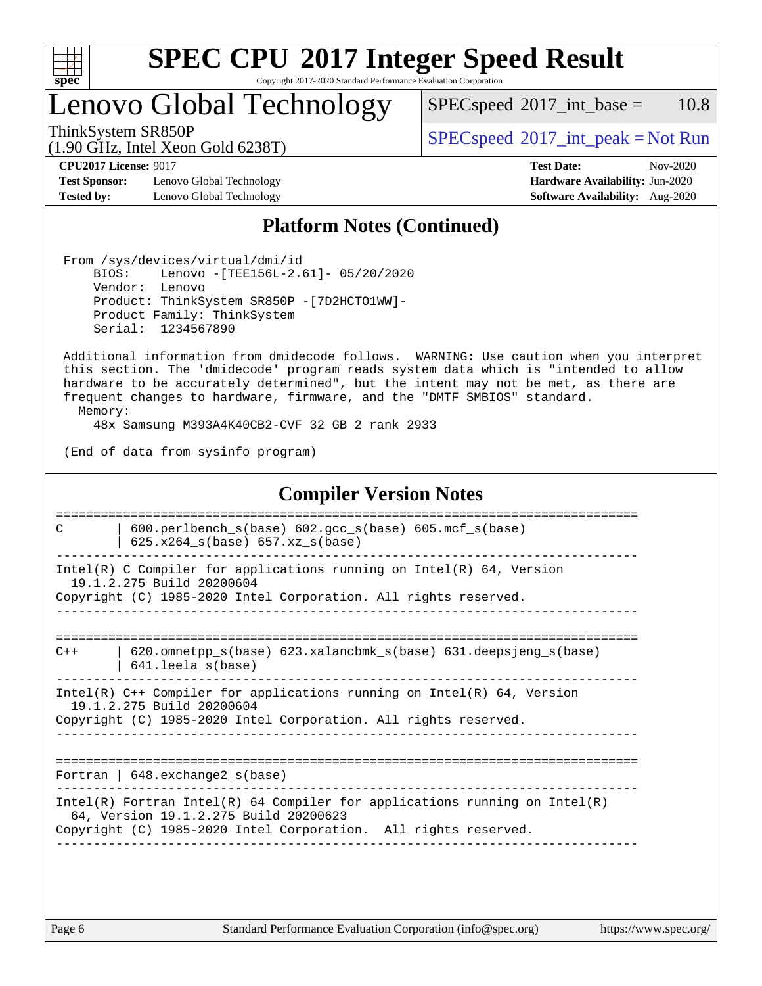

## **[SPEC CPU](http://www.spec.org/auto/cpu2017/Docs/result-fields.html#SPECCPU2017IntegerSpeedResult)[2017 Integer Speed Result](http://www.spec.org/auto/cpu2017/Docs/result-fields.html#SPECCPU2017IntegerSpeedResult)**

Copyright 2017-2020 Standard Performance Evaluation Corporation

Lenovo Global Technology

 $SPECspeed^{\circ}2017\_int\_base = 10.8$  $SPECspeed^{\circ}2017\_int\_base = 10.8$ 

(1.90 GHz, Intel Xeon Gold 6238T)

ThinkSystem SR850P<br>(1.00 CHz, Intel Year Gald 6228T) [SPECspeed](http://www.spec.org/auto/cpu2017/Docs/result-fields.html#SPECspeed2017intpeak)®[2017\\_int\\_peak = N](http://www.spec.org/auto/cpu2017/Docs/result-fields.html#SPECspeed2017intpeak)ot Run

**[Test Sponsor:](http://www.spec.org/auto/cpu2017/Docs/result-fields.html#TestSponsor)** Lenovo Global Technology **[Hardware Availability:](http://www.spec.org/auto/cpu2017/Docs/result-fields.html#HardwareAvailability)** Jun-2020 **[Tested by:](http://www.spec.org/auto/cpu2017/Docs/result-fields.html#Testedby)** Lenovo Global Technology **[Software Availability:](http://www.spec.org/auto/cpu2017/Docs/result-fields.html#SoftwareAvailability)** Aug-2020

**[CPU2017 License:](http://www.spec.org/auto/cpu2017/Docs/result-fields.html#CPU2017License)** 9017 **[Test Date:](http://www.spec.org/auto/cpu2017/Docs/result-fields.html#TestDate)** Nov-2020

#### **[Platform Notes \(Continued\)](http://www.spec.org/auto/cpu2017/Docs/result-fields.html#PlatformNotes)**

 From /sys/devices/virtual/dmi/id BIOS: Lenovo -[TEE156L-2.61]- 05/20/2020 Vendor: Lenovo Product: ThinkSystem SR850P -[7D2HCTO1WW]- Product Family: ThinkSystem Serial: 1234567890

 Additional information from dmidecode follows. WARNING: Use caution when you interpret this section. The 'dmidecode' program reads system data which is "intended to allow hardware to be accurately determined", but the intent may not be met, as there are frequent changes to hardware, firmware, and the "DMTF SMBIOS" standard.

Memory:

48x Samsung M393A4K40CB2-CVF 32 GB 2 rank 2933

(End of data from sysinfo program)

#### **[Compiler Version Notes](http://www.spec.org/auto/cpu2017/Docs/result-fields.html#CompilerVersionNotes)** ============================================================================== C | 600.perlbench\_s(base) 602.gcc\_s(base) 605.mcf\_s(base) | 625.x264  $s(base)$  657.xz  $s(base)$ ------------------------------------------------------------------------------ Intel(R) C Compiler for applications running on  $Intel(R) 64$ , Version 19.1.2.275 Build 20200604 Copyright (C) 1985-2020 Intel Corporation. All rights reserved. ------------------------------------------------------------------------------ ============================================================================== C++ | 620.omnetpp\_s(base) 623.xalancbmk\_s(base) 631.deepsjeng\_s(base) | 641.leela\_s(base) ------------------------------------------------------------------------------ Intel(R) C++ Compiler for applications running on Intel(R) 64, Version 19.1.2.275 Build 20200604 Copyright (C) 1985-2020 Intel Corporation. All rights reserved. ------------------------------------------------------------------------------ ============================================================================== Fortran | 648.exchange2\_s(base) ------------------------------------------------------------------------------ Intel(R) Fortran Intel(R) 64 Compiler for applications running on Intel(R) 64, Version 19.1.2.275 Build 20200623 Copyright (C) 1985-2020 Intel Corporation. All rights reserved. ------------------------------------------------------------------------------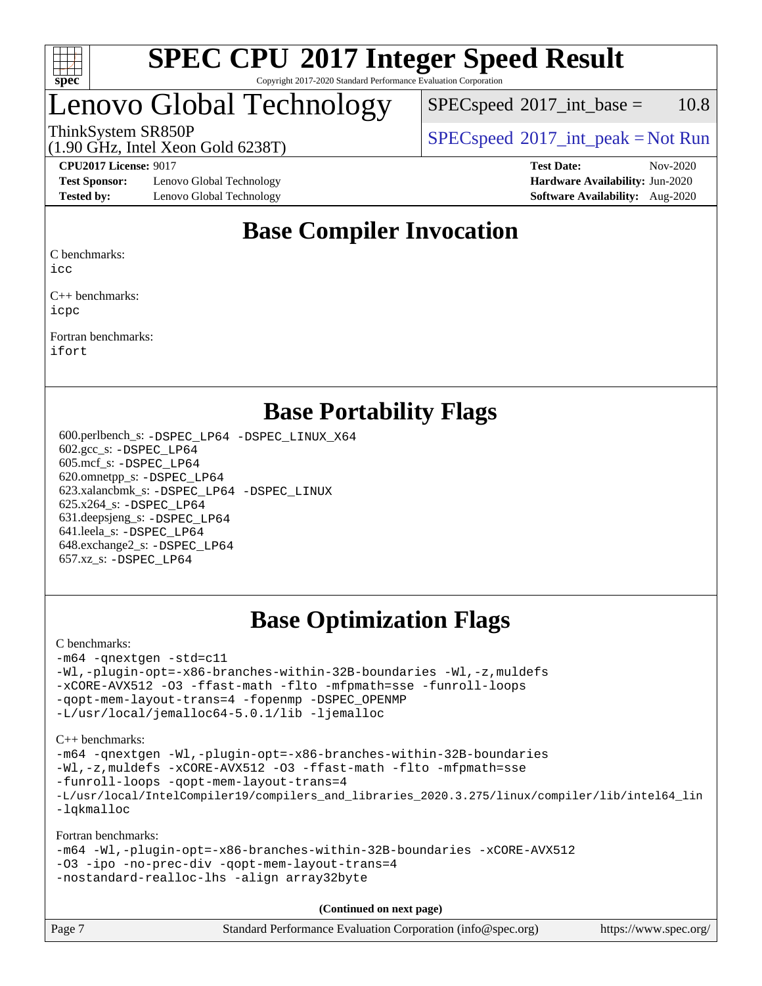

### Lenovo Global Technology

 $SPEC speed^{\circ}2017\_int\_base = 10.8$ 

ThinkSystem SR850P<br>(1.00 CHz, Intel Year Gald 6229T) [SPECspeed](http://www.spec.org/auto/cpu2017/Docs/result-fields.html#SPECspeed2017intpeak)<sup>®</sup>[2017\\_int\\_peak = N](http://www.spec.org/auto/cpu2017/Docs/result-fields.html#SPECspeed2017intpeak)ot Run

### (1.90 GHz, Intel Xeon Gold 6238T)

**[Test Sponsor:](http://www.spec.org/auto/cpu2017/Docs/result-fields.html#TestSponsor)** Lenovo Global Technology **[Hardware Availability:](http://www.spec.org/auto/cpu2017/Docs/result-fields.html#HardwareAvailability)** Jun-2020 **[Tested by:](http://www.spec.org/auto/cpu2017/Docs/result-fields.html#Testedby)** Lenovo Global Technology **[Software Availability:](http://www.spec.org/auto/cpu2017/Docs/result-fields.html#SoftwareAvailability)** Aug-2020

**[CPU2017 License:](http://www.spec.org/auto/cpu2017/Docs/result-fields.html#CPU2017License)** 9017 **[Test Date:](http://www.spec.org/auto/cpu2017/Docs/result-fields.html#TestDate)** Nov-2020

### **[Base Compiler Invocation](http://www.spec.org/auto/cpu2017/Docs/result-fields.html#BaseCompilerInvocation)**

[C benchmarks:](http://www.spec.org/auto/cpu2017/Docs/result-fields.html#Cbenchmarks)

[icc](http://www.spec.org/cpu2017/results/res2020q4/cpu2017-20201123-24460.flags.html#user_CCbase_intel_icc_66fc1ee009f7361af1fbd72ca7dcefbb700085f36577c54f309893dd4ec40d12360134090235512931783d35fd58c0460139e722d5067c5574d8eaf2b3e37e92)

[C++ benchmarks](http://www.spec.org/auto/cpu2017/Docs/result-fields.html#CXXbenchmarks): [icpc](http://www.spec.org/cpu2017/results/res2020q4/cpu2017-20201123-24460.flags.html#user_CXXbase_intel_icpc_c510b6838c7f56d33e37e94d029a35b4a7bccf4766a728ee175e80a419847e808290a9b78be685c44ab727ea267ec2f070ec5dc83b407c0218cded6866a35d07)

[Fortran benchmarks:](http://www.spec.org/auto/cpu2017/Docs/result-fields.html#Fortranbenchmarks) [ifort](http://www.spec.org/cpu2017/results/res2020q4/cpu2017-20201123-24460.flags.html#user_FCbase_intel_ifort_8111460550e3ca792625aed983ce982f94888b8b503583aa7ba2b8303487b4d8a21a13e7191a45c5fd58ff318f48f9492884d4413fa793fd88dd292cad7027ca)

### **[Base Portability Flags](http://www.spec.org/auto/cpu2017/Docs/result-fields.html#BasePortabilityFlags)**

 600.perlbench\_s: [-DSPEC\\_LP64](http://www.spec.org/cpu2017/results/res2020q4/cpu2017-20201123-24460.flags.html#b600.perlbench_s_basePORTABILITY_DSPEC_LP64) [-DSPEC\\_LINUX\\_X64](http://www.spec.org/cpu2017/results/res2020q4/cpu2017-20201123-24460.flags.html#b600.perlbench_s_baseCPORTABILITY_DSPEC_LINUX_X64) 602.gcc\_s: [-DSPEC\\_LP64](http://www.spec.org/cpu2017/results/res2020q4/cpu2017-20201123-24460.flags.html#suite_basePORTABILITY602_gcc_s_DSPEC_LP64) 605.mcf\_s: [-DSPEC\\_LP64](http://www.spec.org/cpu2017/results/res2020q4/cpu2017-20201123-24460.flags.html#suite_basePORTABILITY605_mcf_s_DSPEC_LP64) 620.omnetpp\_s: [-DSPEC\\_LP64](http://www.spec.org/cpu2017/results/res2020q4/cpu2017-20201123-24460.flags.html#suite_basePORTABILITY620_omnetpp_s_DSPEC_LP64) 623.xalancbmk\_s: [-DSPEC\\_LP64](http://www.spec.org/cpu2017/results/res2020q4/cpu2017-20201123-24460.flags.html#suite_basePORTABILITY623_xalancbmk_s_DSPEC_LP64) [-DSPEC\\_LINUX](http://www.spec.org/cpu2017/results/res2020q4/cpu2017-20201123-24460.flags.html#b623.xalancbmk_s_baseCXXPORTABILITY_DSPEC_LINUX) 625.x264\_s: [-DSPEC\\_LP64](http://www.spec.org/cpu2017/results/res2020q4/cpu2017-20201123-24460.flags.html#suite_basePORTABILITY625_x264_s_DSPEC_LP64) 631.deepsjeng\_s: [-DSPEC\\_LP64](http://www.spec.org/cpu2017/results/res2020q4/cpu2017-20201123-24460.flags.html#suite_basePORTABILITY631_deepsjeng_s_DSPEC_LP64) 641.leela\_s: [-DSPEC\\_LP64](http://www.spec.org/cpu2017/results/res2020q4/cpu2017-20201123-24460.flags.html#suite_basePORTABILITY641_leela_s_DSPEC_LP64) 648.exchange2\_s: [-DSPEC\\_LP64](http://www.spec.org/cpu2017/results/res2020q4/cpu2017-20201123-24460.flags.html#suite_basePORTABILITY648_exchange2_s_DSPEC_LP64) 657.xz\_s: [-DSPEC\\_LP64](http://www.spec.org/cpu2017/results/res2020q4/cpu2017-20201123-24460.flags.html#suite_basePORTABILITY657_xz_s_DSPEC_LP64)

### **[Base Optimization Flags](http://www.spec.org/auto/cpu2017/Docs/result-fields.html#BaseOptimizationFlags)**

#### [C benchmarks](http://www.spec.org/auto/cpu2017/Docs/result-fields.html#Cbenchmarks):

```
-m64 -qnextgen -std=c11
-Wl,-plugin-opt=-x86-branches-within-32B-boundaries -Wl,-z,muldefs
-xCORE-AVX512 -O3 -ffast-math -flto -mfpmath=sse -funroll-loops
-qopt-mem-layout-trans=4 -fopenmp -DSPEC_OPENMP
-L/usr/local/jemalloc64-5.0.1/lib -ljemalloc
```
[C++ benchmarks:](http://www.spec.org/auto/cpu2017/Docs/result-fields.html#CXXbenchmarks)

```
-m64 -qnextgen -Wl,-plugin-opt=-x86-branches-within-32B-boundaries
-Wl,-z,muldefs -xCORE-AVX512 -O3 -ffast-math -flto -mfpmath=sse
-funroll-loops -qopt-mem-layout-trans=4
-L/usr/local/IntelCompiler19/compilers_and_libraries_2020.3.275/linux/compiler/lib/intel64_lin
-lqkmalloc
```
[Fortran benchmarks:](http://www.spec.org/auto/cpu2017/Docs/result-fields.html#Fortranbenchmarks)

```
-m64 -Wl,-plugin-opt=-x86-branches-within-32B-boundaries -xCORE-AVX512
-O3 -ipo -no-prec-div -qopt-mem-layout-trans=4
-nostandard-realloc-lhs -align array32byte
```
**(Continued on next page)**

| Page 7 | Standard Performance Evaluation Corporation (info@spec.org) | https://www.spec.org/ |
|--------|-------------------------------------------------------------|-----------------------|
|        |                                                             |                       |